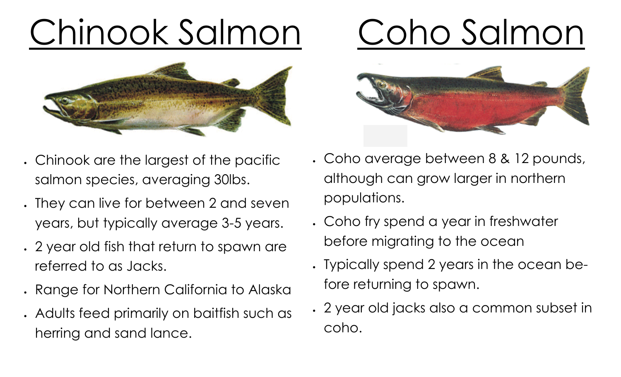# Chinook Salmon



- Chinook are the largest of the pacific salmon species, averaging 30lbs.
- They can live for between 2 and seven years, but typically average 3-5 years.
- 2 year old fish that return to spawn are referred to as Jacks.
- Range for Northern California to Alaska
- Adults feed primarily on baitfish such as herring and sand lance.

## Coho Salmon



- Coho average between 8 & 12 pounds, although can grow larger in northern populations.
- Coho fry spend a year in freshwater before migrating to the ocean
- Typically spend 2 years in the ocean before returning to spawn.
- 2 year old jacks also a common subset in coho.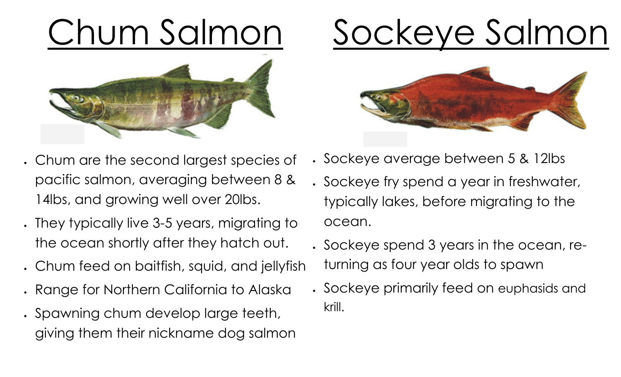# Chum Salmon





- Chum are the second largest species of pacific salmon, averaging between 8 & 14lbs, and growing well over 20lbs.
- They typically live 3-5 years, migrating to the ocean shortly after they hatch out.
- Chum feed on baitfish, squid, and jellyfish
- Range for Northern California to Alaska
- Spawning chum develop large teeth, giving them their nickname dog salmon
- Sockeye average between 5 & 12lbs
- Sockeye fry spend a year in freshwater, typically lakes, before migrating to the ocean.
- Sockeye spend 3 years in the ocean, returning as four year olds to spawn
- Sockeye primarily feed on euphasids and krill.